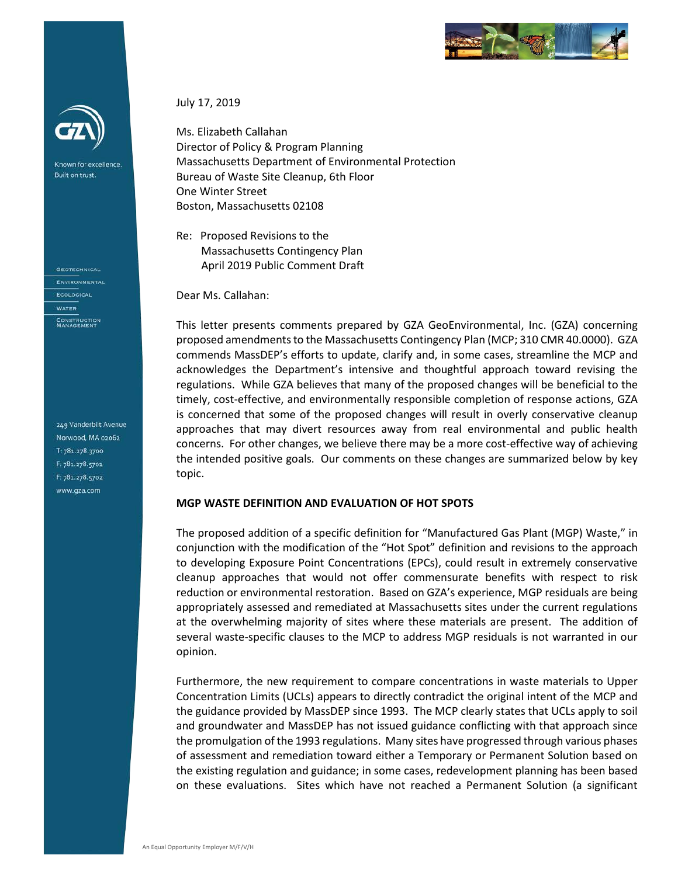

Known for excellence. Built on trust.

**GEOTECHNICAL** ENVIRONMENTAL ECOLOGICAL **WATER** CONSTRUCTION<br>MANAGEMENT

249 Vanderbilt Avenue Norwood, MA 02062 T: 781.278.3700 F: 781.278.5701 F: 781.278.5702 www.gza.com

July 17, 2019

Ms. Elizabeth Callahan Director of Policy & Program Planning Massachusetts Department of Environmental Protection Bureau of Waste Site Cleanup, 6th Floor One Winter Street Boston, Massachusetts 02108

Re: Proposed Revisions to the Massachusetts Contingency Plan April 2019 Public Comment Draft

Dear Ms. Callahan:

This letter presents comments prepared by GZA GeoEnvironmental, Inc. (GZA) concerning proposed amendments to the Massachusetts Contingency Plan (MCP; 310 CMR 40.0000). GZA commends MassDEP's efforts to update, clarify and, in some cases, streamline the MCP and acknowledges the Department's intensive and thoughtful approach toward revising the regulations. While GZA believes that many of the proposed changes will be beneficial to the timely, cost-effective, and environmentally responsible completion of response actions, GZA is concerned that some of the proposed changes will result in overly conservative cleanup approaches that may divert resources away from real environmental and public health concerns. For other changes, we believe there may be a more cost-effective way of achieving the intended positive goals. Our comments on these changes are summarized below by key topic.

#### **MGP WASTE DEFINITION AND EVALUATION OF HOT SPOTS**

The proposed addition of a specific definition for "Manufactured Gas Plant (MGP) Waste," in conjunction with the modification of the "Hot Spot" definition and revisions to the approach to developing Exposure Point Concentrations (EPCs), could result in extremely conservative cleanup approaches that would not offer commensurate benefits with respect to risk reduction or environmental restoration. Based on GZA's experience, MGP residuals are being appropriately assessed and remediated at Massachusetts sites under the current regulations at the overwhelming majority of sites where these materials are present. The addition of several waste-specific clauses to the MCP to address MGP residuals is not warranted in our opinion.

Furthermore, the new requirement to compare concentrations in waste materials to Upper Concentration Limits (UCLs) appears to directly contradict the original intent of the MCP and the guidance provided by MassDEP since 1993. The MCP clearly states that UCLs apply to soil and groundwater and MassDEP has not issued guidance conflicting with that approach since the promulgation of the 1993 regulations. Many sites have progressed through various phases of assessment and remediation toward either a Temporary or Permanent Solution based on the existing regulation and guidance; in some cases, redevelopment planning has been based on these evaluations. Sites which have not reached a Permanent Solution (a significant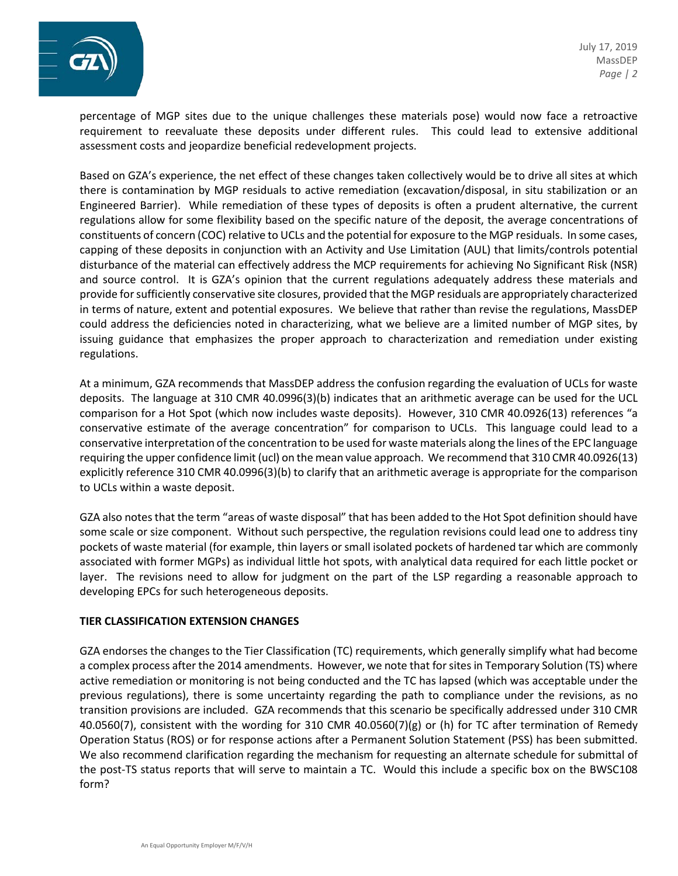

percentage of MGP sites due to the unique challenges these materials pose) would now face a retroactive requirement to reevaluate these deposits under different rules. This could lead to extensive additional assessment costs and jeopardize beneficial redevelopment projects.

Based on GZA's experience, the net effect of these changes taken collectively would be to drive all sites at which there is contamination by MGP residuals to active remediation (excavation/disposal, in situ stabilization or an Engineered Barrier). While remediation of these types of deposits is often a prudent alternative, the current regulations allow for some flexibility based on the specific nature of the deposit, the average concentrations of constituents of concern (COC) relative to UCLs and the potential for exposure to the MGP residuals. In some cases, capping of these deposits in conjunction with an Activity and Use Limitation (AUL) that limits/controls potential disturbance of the material can effectively address the MCP requirements for achieving No Significant Risk (NSR) and source control. It is GZA's opinion that the current regulations adequately address these materials and provide for sufficiently conservative site closures, provided that the MGP residuals are appropriately characterized in terms of nature, extent and potential exposures. We believe that rather than revise the regulations, MassDEP could address the deficiencies noted in characterizing, what we believe are a limited number of MGP sites, by issuing guidance that emphasizes the proper approach to characterization and remediation under existing regulations.

At a minimum, GZA recommends that MassDEP address the confusion regarding the evaluation of UCLs for waste deposits. The language at 310 CMR 40.0996(3)(b) indicates that an arithmetic average can be used for the UCL comparison for a Hot Spot (which now includes waste deposits). However, 310 CMR 40.0926(13) references "a conservative estimate of the average concentration" for comparison to UCLs. This language could lead to a conservative interpretation of the concentration to be used for waste materials along the lines of the EPC language requiring the upper confidence limit (ucl) on the mean value approach. We recommend that 310 CMR 40.0926(13) explicitly reference 310 CMR 40.0996(3)(b) to clarify that an arithmetic average is appropriate for the comparison to UCLs within a waste deposit.

GZA also notes that the term "areas of waste disposal" that has been added to the Hot Spot definition should have some scale or size component. Without such perspective, the regulation revisions could lead one to address tiny pockets of waste material (for example, thin layers or small isolated pockets of hardened tar which are commonly associated with former MGPs) as individual little hot spots, with analytical data required for each little pocket or layer. The revisions need to allow for judgment on the part of the LSP regarding a reasonable approach to developing EPCs for such heterogeneous deposits.

### **TIER CLASSIFICATION EXTENSION CHANGES**

GZA endorses the changes to the Tier Classification (TC) requirements, which generally simplify what had become a complex process after the 2014 amendments. However, we note that for sites in Temporary Solution (TS) where active remediation or monitoring is not being conducted and the TC has lapsed (which was acceptable under the previous regulations), there is some uncertainty regarding the path to compliance under the revisions, as no transition provisions are included. GZA recommends that this scenario be specifically addressed under 310 CMR 40.0560(7), consistent with the wording for 310 CMR 40.0560(7)(g) or (h) for TC after termination of Remedy Operation Status (ROS) or for response actions after a Permanent Solution Statement (PSS) has been submitted. We also recommend clarification regarding the mechanism for requesting an alternate schedule for submittal of the post-TS status reports that will serve to maintain a TC. Would this include a specific box on the BWSC108 form?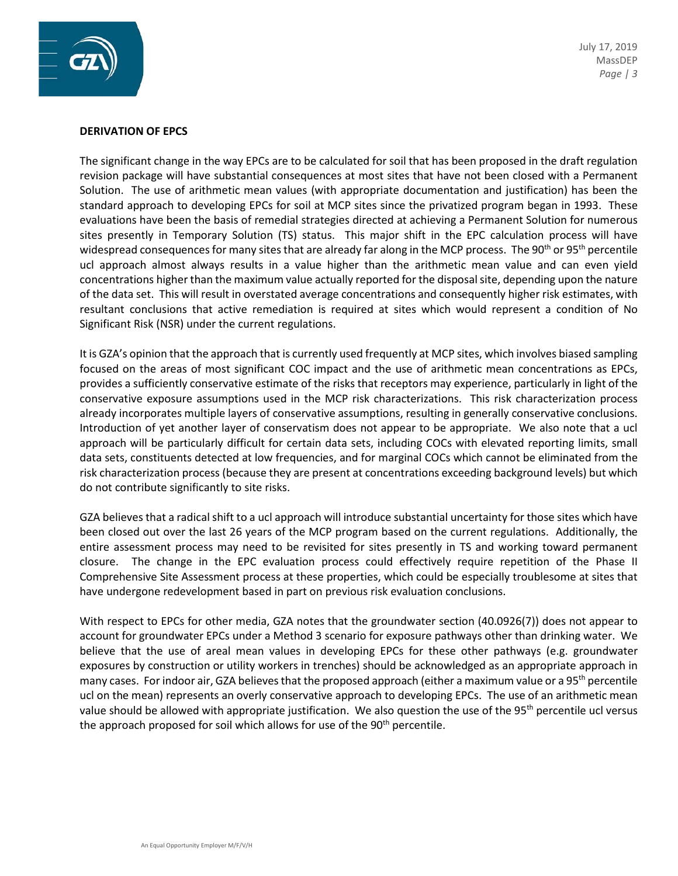

July 17, 2019 MassDEP *Page | 3*

#### **DERIVATION OF EPCS**

The significant change in the way EPCs are to be calculated for soil that has been proposed in the draft regulation revision package will have substantial consequences at most sites that have not been closed with a Permanent Solution. The use of arithmetic mean values (with appropriate documentation and justification) has been the standard approach to developing EPCs for soil at MCP sites since the privatized program began in 1993. These evaluations have been the basis of remedial strategies directed at achieving a Permanent Solution for numerous sites presently in Temporary Solution (TS) status. This major shift in the EPC calculation process will have widespread consequences for many sites that are already far along in the MCP process. The 90<sup>th</sup> or 95<sup>th</sup> percentile ucl approach almost always results in a value higher than the arithmetic mean value and can even yield concentrations higher than the maximum value actually reported for the disposal site, depending upon the nature of the data set. This will result in overstated average concentrations and consequently higher risk estimates, with resultant conclusions that active remediation is required at sites which would represent a condition of No Significant Risk (NSR) under the current regulations.

It is GZA's opinion that the approach that is currently used frequently at MCP sites, which involves biased sampling focused on the areas of most significant COC impact and the use of arithmetic mean concentrations as EPCs, provides a sufficiently conservative estimate of the risks that receptors may experience, particularly in light of the conservative exposure assumptions used in the MCP risk characterizations. This risk characterization process already incorporates multiple layers of conservative assumptions, resulting in generally conservative conclusions. Introduction of yet another layer of conservatism does not appear to be appropriate. We also note that a ucl approach will be particularly difficult for certain data sets, including COCs with elevated reporting limits, small data sets, constituents detected at low frequencies, and for marginal COCs which cannot be eliminated from the risk characterization process (because they are present at concentrations exceeding background levels) but which do not contribute significantly to site risks.

GZA believes that a radical shift to a ucl approach will introduce substantial uncertainty for those sites which have been closed out over the last 26 years of the MCP program based on the current regulations. Additionally, the entire assessment process may need to be revisited for sites presently in TS and working toward permanent closure. The change in the EPC evaluation process could effectively require repetition of the Phase II Comprehensive Site Assessment process at these properties, which could be especially troublesome at sites that have undergone redevelopment based in part on previous risk evaluation conclusions.

With respect to EPCs for other media, GZA notes that the groundwater section (40.0926(7)) does not appear to account for groundwater EPCs under a Method 3 scenario for exposure pathways other than drinking water. We believe that the use of areal mean values in developing EPCs for these other pathways (e.g. groundwater exposures by construction or utility workers in trenches) should be acknowledged as an appropriate approach in many cases. For indoor air, GZA believes that the proposed approach (either a maximum value or a 95<sup>th</sup> percentile ucl on the mean) represents an overly conservative approach to developing EPCs. The use of an arithmetic mean value should be allowed with appropriate justification. We also question the use of the 95<sup>th</sup> percentile ucl versus the approach proposed for soil which allows for use of the  $90<sup>th</sup>$  percentile.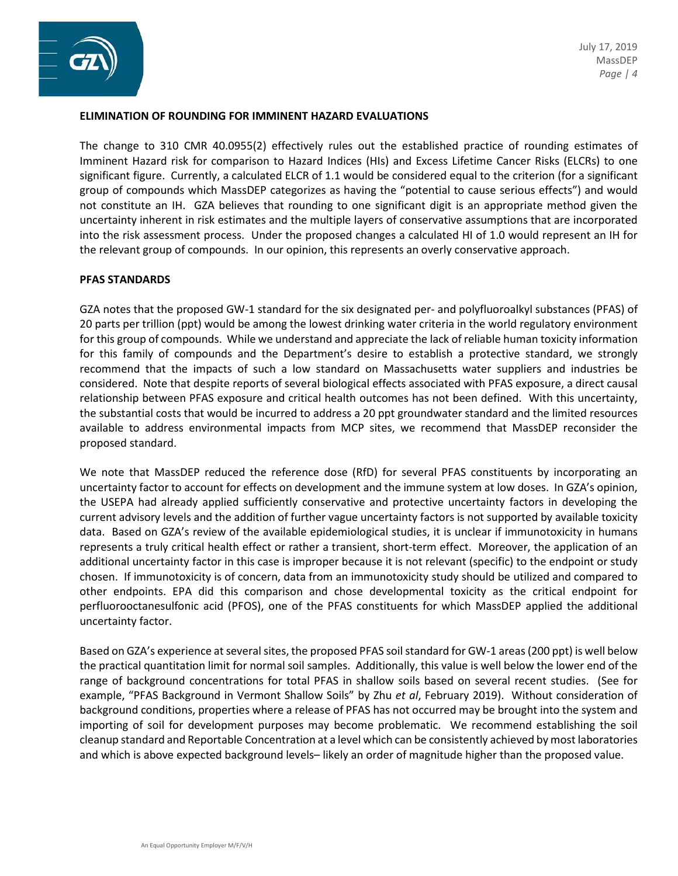



# **ELIMINATION OF ROUNDING FOR IMMINENT HAZARD EVALUATIONS**

The change to 310 CMR 40.0955(2) effectively rules out the established practice of rounding estimates of Imminent Hazard risk for comparison to Hazard Indices (HIs) and Excess Lifetime Cancer Risks (ELCRs) to one significant figure. Currently, a calculated ELCR of 1.1 would be considered equal to the criterion (for a significant group of compounds which MassDEP categorizes as having the "potential to cause serious effects") and would not constitute an IH. GZA believes that rounding to one significant digit is an appropriate method given the uncertainty inherent in risk estimates and the multiple layers of conservative assumptions that are incorporated into the risk assessment process. Under the proposed changes a calculated HI of 1.0 would represent an IH for the relevant group of compounds. In our opinion, this represents an overly conservative approach.

### **PFAS STANDARDS**

GZA notes that the proposed GW-1 standard for the six designated per- and polyfluoroalkyl substances (PFAS) of 20 parts per trillion (ppt) would be among the lowest drinking water criteria in the world regulatory environment for this group of compounds. While we understand and appreciate the lack of reliable human toxicity information for this family of compounds and the Department's desire to establish a protective standard, we strongly recommend that the impacts of such a low standard on Massachusetts water suppliers and industries be considered. Note that despite reports of several biological effects associated with PFAS exposure, a direct causal relationship between PFAS exposure and critical health outcomes has not been defined. With this uncertainty, the substantial costs that would be incurred to address a 20 ppt groundwater standard and the limited resources available to address environmental impacts from MCP sites, we recommend that MassDEP reconsider the proposed standard.

We note that MassDEP reduced the reference dose (RfD) for several PFAS constituents by incorporating an uncertainty factor to account for effects on development and the immune system at low doses. In GZA's opinion, the USEPA had already applied sufficiently conservative and protective uncertainty factors in developing the current advisory levels and the addition of further vague uncertainty factors is not supported by available toxicity data. Based on GZA's review of the available epidemiological studies, it is unclear if immunotoxicity in humans represents a truly critical health effect or rather a transient, short-term effect. Moreover, the application of an additional uncertainty factor in this case is improper because it is not relevant (specific) to the endpoint or study chosen. If immunotoxicity is of concern, data from an immunotoxicity study should be utilized and compared to other endpoints. EPA did this comparison and chose developmental toxicity as the critical endpoint for perfluorooctanesulfonic acid (PFOS), one of the PFAS constituents for which MassDEP applied the additional uncertainty factor.

Based on GZA's experience at several sites, the proposed PFAS soil standard for GW-1 areas(200 ppt) is well below the practical quantitation limit for normal soil samples. Additionally, this value is well below the lower end of the range of background concentrations for total PFAS in shallow soils based on several recent studies. (See for example, "PFAS Background in Vermont Shallow Soils" by Zhu *et al*, February 2019). Without consideration of background conditions, properties where a release of PFAS has not occurred may be brought into the system and importing of soil for development purposes may become problematic. We recommend establishing the soil cleanup standard and Reportable Concentration at a level which can be consistently achieved by most laboratories and which is above expected background levels– likely an order of magnitude higher than the proposed value.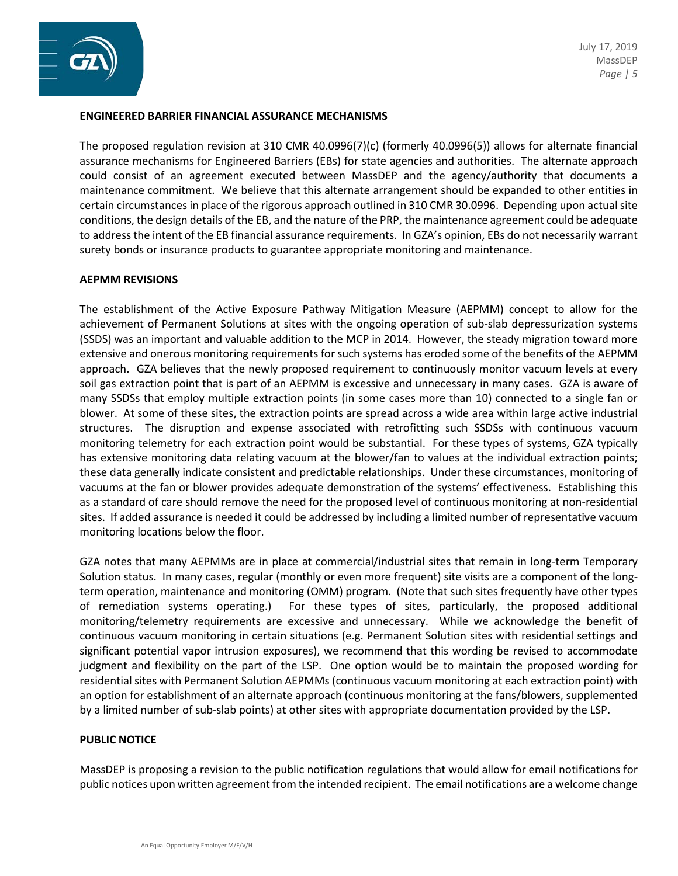



## **ENGINEERED BARRIER FINANCIAL ASSURANCE MECHANISMS**

The proposed regulation revision at 310 CMR 40.0996(7)(c) (formerly 40.0996(5)) allows for alternate financial assurance mechanisms for Engineered Barriers (EBs) for state agencies and authorities. The alternate approach could consist of an agreement executed between MassDEP and the agency/authority that documents a maintenance commitment. We believe that this alternate arrangement should be expanded to other entities in certain circumstances in place of the rigorous approach outlined in 310 CMR 30.0996. Depending upon actual site conditions, the design details of the EB, and the nature of the PRP, the maintenance agreement could be adequate to address the intent of the EB financial assurance requirements. In GZA's opinion, EBs do not necessarily warrant surety bonds or insurance products to guarantee appropriate monitoring and maintenance.

### **AEPMM REVISIONS**

The establishment of the Active Exposure Pathway Mitigation Measure (AEPMM) concept to allow for the achievement of Permanent Solutions at sites with the ongoing operation of sub-slab depressurization systems (SSDS) was an important and valuable addition to the MCP in 2014. However, the steady migration toward more extensive and onerous monitoring requirements for such systems has eroded some of the benefits of the AEPMM approach. GZA believes that the newly proposed requirement to continuously monitor vacuum levels at every soil gas extraction point that is part of an AEPMM is excessive and unnecessary in many cases. GZA is aware of many SSDSs that employ multiple extraction points (in some cases more than 10) connected to a single fan or blower. At some of these sites, the extraction points are spread across a wide area within large active industrial structures. The disruption and expense associated with retrofitting such SSDSs with continuous vacuum monitoring telemetry for each extraction point would be substantial. For these types of systems, GZA typically has extensive monitoring data relating vacuum at the blower/fan to values at the individual extraction points; these data generally indicate consistent and predictable relationships. Under these circumstances, monitoring of vacuums at the fan or blower provides adequate demonstration of the systems' effectiveness. Establishing this as a standard of care should remove the need for the proposed level of continuous monitoring at non-residential sites. If added assurance is needed it could be addressed by including a limited number of representative vacuum monitoring locations below the floor.

GZA notes that many AEPMMs are in place at commercial/industrial sites that remain in long-term Temporary Solution status. In many cases, regular (monthly or even more frequent) site visits are a component of the longterm operation, maintenance and monitoring (OMM) program. (Note that such sites frequently have other types of remediation systems operating.) For these types of sites, particularly, the proposed additional monitoring/telemetry requirements are excessive and unnecessary. While we acknowledge the benefit of continuous vacuum monitoring in certain situations (e.g. Permanent Solution sites with residential settings and significant potential vapor intrusion exposures), we recommend that this wording be revised to accommodate judgment and flexibility on the part of the LSP. One option would be to maintain the proposed wording for residential sites with Permanent Solution AEPMMs (continuous vacuum monitoring at each extraction point) with an option for establishment of an alternate approach (continuous monitoring at the fans/blowers, supplemented by a limited number of sub-slab points) at other sites with appropriate documentation provided by the LSP.

### **PUBLIC NOTICE**

MassDEP is proposing a revision to the public notification regulations that would allow for email notifications for public notices upon written agreement from the intended recipient. The email notifications are a welcome change